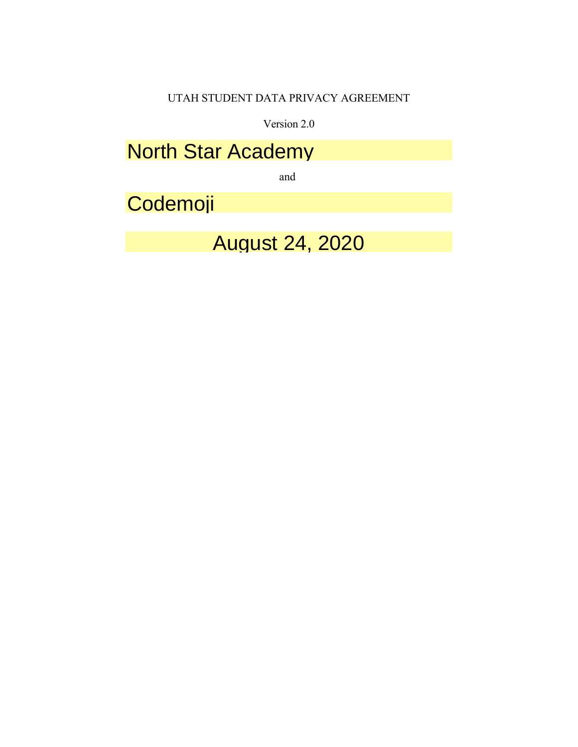## UTAH STUDENT DATA PRIVACY AGREEMENT

Version 2.0

**North Star Academy Contract of Contract Or Local Education Agency** 

and

**Codemoji** 

August 24, 2020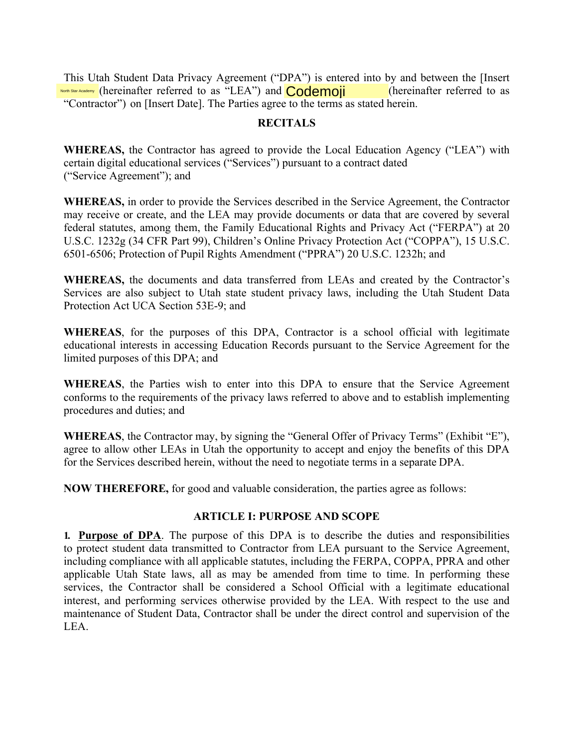This Utah Student Data Privacy Agreement ("DPA") is entered into by and between the [Insert Star Aca(hereinafter referred to as "LEA") and Codemoji (hereinafter referred to as "Contractor") on [Insert Date]. The Parties agree to the terms as stated herein.

### **RECITALS**

**WHEREAS**, the Contractor has agreed to provide the Local Education Agency ("LEA") with certain digital educational services ("Services") pursuant to a contract dated ("Service Agreement"); and

WHEREAS, in order to provide the Services described in the Service Agreement, the Contractor may receive or create, and the LEA may provide documents or data that are covered by several federal statutes, among them, the Family Educational Rights and Privacy Act ("FERPA") at 20 U.S.C. 1232g (34 CFR Part 99), Children's Online Privacy Protection Act ("COPPA"), 15 U.S.C. 6501-6506; Protection of Pupil Rights Amendment ("PPRA") 20 U.S.C. 1232h; and

WHEREAS, the documents and data transferred from LEAs and created by the Contractor's Services are also subject to Utah state student privacy laws, including the Utah Student Data Protection Act UCA Section 53E-9; and

WHEREAS, for the purposes of this DPA, Contractor is a school official with legitimate educational interests in accessing Education Records pursuant to the Service Agreement for the limited purposes of this DPA; and

WHEREAS, the Parties wish to enter into this DPA to ensure that the Service Agreement conforms to the requirements of the privacy laws referred to above and to establish implementing procedures and duties; and

**WHEREAS**, the Contractor may, by signing the "General Offer of Privacy Terms" (Exhibit "E"), agree to allow other LEAs in Utah the opportunity to accept and enjoy the benefits of this DPA for the Services described herein, without the need to negotiate terms in a separate DPA.

**NOW THEREFORE, for good and valuable consideration, the parties agree as follows:** 

## **ARTICLE I: PURPOSE AND SCOPE**

**1. Purpose of DPA.** The purpose of this DPA is to describe the duties and responsibilities to protect student data transmitted to Contractor from LEA pursuant to the Service Agreement, including compliance with all applicable statutes, including the FERPA, COPPA, PPRA and other applicable Utah State laws, all as may be amended from time to time. In performing these services, the Contractor shall be considered a School Official with a legitimate educational interest, and performing services otherwise provided by the LEA. With respect to the use and maintenance of Student Data, Contractor shall be under the direct control and supervision of the LEA.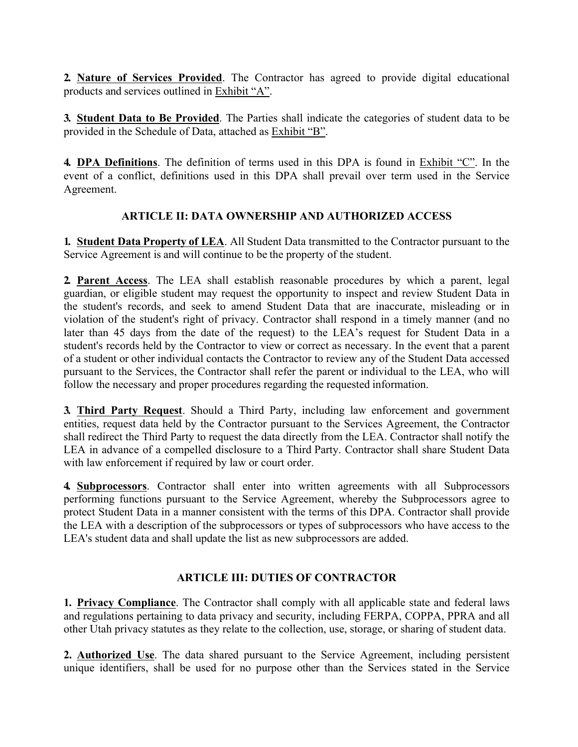2. Nature of Services Provided. The Contractor has agreed to provide digital educational products and services outlined in Exhibit "A".

3. Student Data to Be Provided. The Parties shall indicate the categories of student data to be provided in the Schedule of Data, attached as Exhibit "B".

4. DPA Definitions. The definition of terms used in this DPA is found in Exhibit "C". In the event of a conflict, definitions used in this DPA shall prevail over term used in the Service Agreement.

## **ARTICLE II: DATA OWNERSHIP AND AUTHORIZED ACCESS**

1. Student Data Property of LEA. All Student Data transmitted to the Contractor pursuant to the Service Agreement is and will continue to be the property of the student.

2. Parent Access. The LEA shall establish reasonable procedures by which a parent, legal guardian, or eligible student may request the opportunity to inspect and review Student Data in the student's records, and seek to amend Student Data that are inaccurate, misleading or in violation of the student's right of privacy. Contractor shall respond in a timely manner (and no later than 45 days from the date of the request) to the LEA's request for Student Data in a student's records held by the Contractor to view or correct as necessary. In the event that a parent of a student or other individual contacts the Contractor to review any of the Student Data accessed pursuant to the Services, the Contractor shall refer the parent or individual to the LEA, who will follow the necessary and proper procedures regarding the requested information.

3. Third Party Request. Should a Third Party, including law enforcement and government entities, request data held by the Contractor pursuant to the Services Agreement, the Contractor shall redirect the Third Party to request the data directly from the LEA. Contractor shall notify the LEA in advance of a compelled disclosure to a Third Party. Contractor shall share Student Data with law enforcement if required by law or court order.

4. Subprocessors. Contractor shall enter into written agreements with all Subprocessors performing functions pursuant to the Service Agreement, whereby the Subprocessors agree to protect Student Data in a manner consistent with the terms of this DPA. Contractor shall provide the LEA with a description of the subprocessors or types of subprocessors who have access to the LEA's student data and shall update the list as new subprocessors are added.

## **ARTICLE III: DUTIES OF CONTRACTOR**

1. Privacy Compliance. The Contractor shall comply with all applicable state and federal laws and regulations pertaining to data privacy and security, including FERPA, COPPA, PPRA and all other Utah privacy statutes as they relate to the collection, use, storage, or sharing of student data.

2. Authorized Use. The data shared pursuant to the Service Agreement, including persistent unique identifiers, shall be used for no purpose other than the Services stated in the Service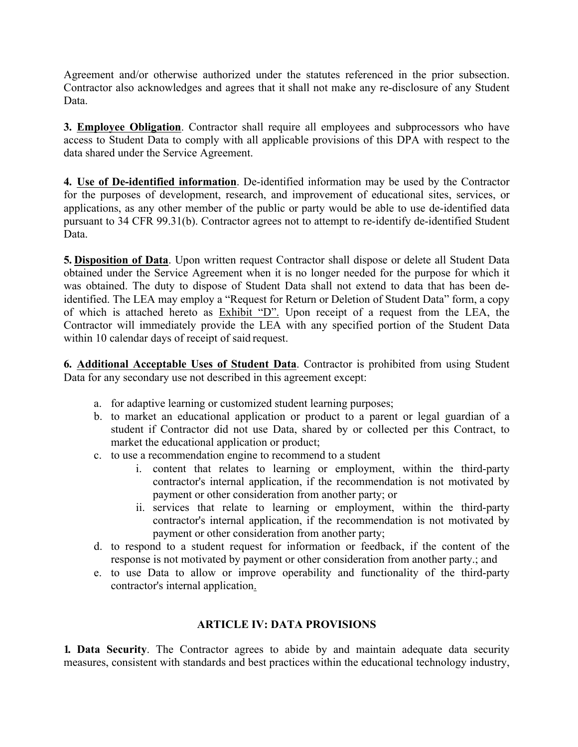Agreement and/or otherwise authorized under the statutes referenced in the prior subsection. Contractor also acknowledges and agrees that it shall not make any re-disclosure of any Student Data.

3. Employee Obligation. Contractor shall require all employees and subprocessors who have access to Student Data to comply with all applicable provisions of this DPA with respect to the data shared under the Service Agreement.

4. Use of De-identified information. De-identified information may be used by the Contractor for the purposes of development, research, and improvement of educational sites, services, or applications, as any other member of the public or party would be able to use de-identified data pursuant to 34 CFR 99.31(b). Contractor agrees not to attempt to re-identify de-identified Student Data.

5. Disposition of Data. Upon written request Contractor shall dispose or delete all Student Data obtained under the Service Agreement when it is no longer needed for the purpose for which it was obtained. The duty to dispose of Student Data shall not extend to data that has been deidentified. The LEA may employ a "Request for Return or Deletion of Student Data" form, a copy of which is attached hereto as Exhibit "D". Upon receipt of a request from the LEA, the Contractor will immediately provide the LEA with any specified portion of the Student Data within 10 calendar days of receipt of said request.

6. Additional Acceptable Uses of Student Data. Contractor is prohibited from using Student Data for any secondary use not described in this agreement except:

- a. for adaptive learning or customized student learning purposes;
- b. to market an educational application or product to a parent or legal guardian of a student if Contractor did not use Data, shared by or collected per this Contract, to market the educational application or product;
- c. to use a recommendation engine to recommend to a student
	- i. content that relates to learning or employment, within the third-party contractor's internal application, if the recommendation is not motivated by payment or other consideration from another party; or
	- ii. services that relate to learning or employment, within the third-party contractor's internal application, if the recommendation is not motivated by payment or other consideration from another party;
- d. to respond to a student request for information or feedback, if the content of the response is not motivated by payment or other consideration from another party.; and
- e. to use Data to allow or improve operability and functionality of the third-party contractor's internal application.

## **ARTICLE IV: DATA PROVISIONS**

1. Data Security. The Contractor agrees to abide by and maintain adequate data security measures, consistent with standards and best practices within the educational technology industry,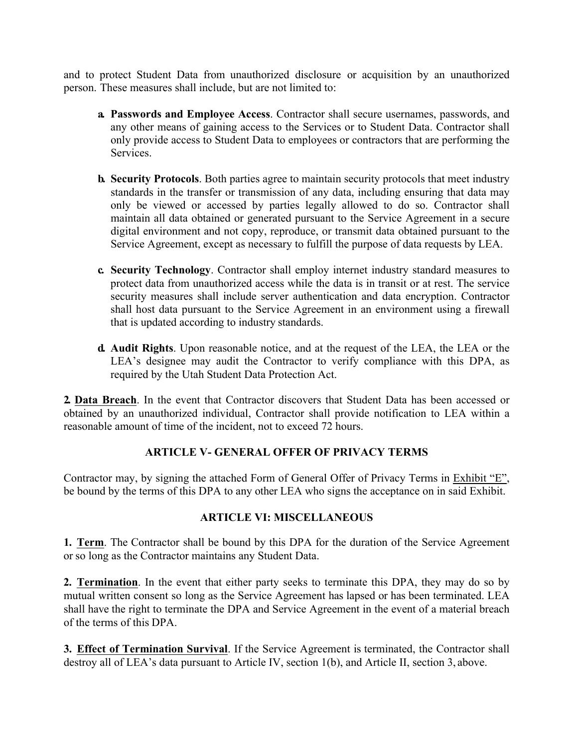and to protect Student Data from unauthorized disclosure or acquisition by an unauthorized person. These measures shall include, but are not limited to:

- a. Passwords and Employee Access. Contractor shall secure usernames, passwords, and any other means of gaining access to the Services or to Student Data. Contractor shall only provide access to Student Data to employees or contractors that are performing the Services.
- **b. Security Protocols.** Both parties agree to maintain security protocols that meet industry standards in the transfer or transmission of any data, including ensuring that data may only be viewed or accessed by parties legally allowed to do so. Contractor shall maintain all data obtained or generated pursuant to the Service Agreement in a secure digital environment and not copy, reproduce, or transmit data obtained pursuant to the Service Agreement, except as necessary to fulfill the purpose of data requests by LEA.
- c. Security Technology. Contractor shall employ internet industry standard measures to protect data from unauthorized access while the data is in transit or at rest. The service security measures shall include server authentication and data encryption. Contractor shall host data pursuant to the Service Agreement in an environment using a firewall that is updated according to industry standards.
- d. Audit Rights. Upon reasonable notice, and at the request of the LEA, the LEA or the LEA's designee may audit the Contractor to verify compliance with this DPA, as required by the Utah Student Data Protection Act.

2. Data Breach. In the event that Contractor discovers that Student Data has been accessed or obtained by an unauthorized individual, Contractor shall provide notification to LEA within a reasonable amount of time of the incident, not to exceed 72 hours.

## **ARTICLE V- GENERAL OFFER OF PRIVACY TERMS**

Contractor may, by signing the attached Form of General Offer of Privacy Terms in Exhibit "E", be bound by the terms of this DPA to any other LEA who signs the acceptance on in said Exhibit.

## **ARTICLE VI: MISCELLANEOUS**

1. Term. The Contractor shall be bound by this DPA for the duration of the Service Agreement or so long as the Contractor maintains any Student Data.

2. Termination. In the event that either party seeks to terminate this DPA, they may do so by mutual written consent so long as the Service Agreement has lapsed or has been terminated. LEA shall have the right to terminate the DPA and Service Agreement in the event of a material breach of the terms of this DPA.

3. Effect of Termination Survival. If the Service Agreement is terminated, the Contractor shall destroy all of LEA's data pursuant to Article IV, section 1(b), and Article II, section 3, above.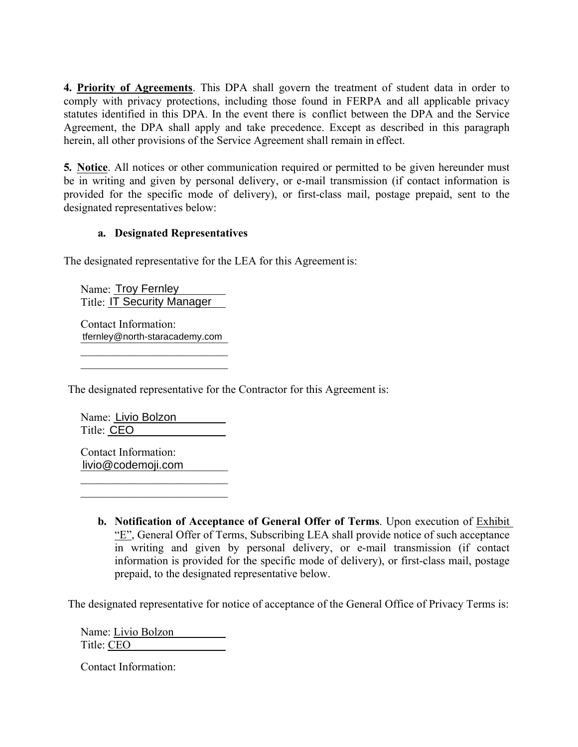4. Priority of Agreements. This DPA shall govern the treatment of student data in order to comply with privacy protections, including those found in FERPA and all applicable privacy statutes identified in this DPA. In the event there is conflict between the DPA and the Service Agreement, the DPA shall apply and take precedence. Except as described in this paragraph herein, all other provisions of the Service Agreement shall remain in effect.

5. Notice. All notices or other communication required or permitted to be given hereunder must be in writing and given by personal delivery, or e-mail transmission (if contact information is provided for the specific mode of delivery), or first-class mail, postage prepaid, sent to the designated representatives below:

## a. Designated Representatives

The designated representative for the LEA for this Agreement is:

Name: Troy Fernley **Title: IT Security Manager** 

Contact Information: tfernley@north-staracademy.

The designated representative for the Contractor for this Agreement is:

Name: Livio Bolzon Title: CEO

Contact Information: livio@codemoji.com

> **b.** Notification of Acceptance of General Offer of Terms. Upon execution of Exhibit "E", General Offer of Terms, Subscribing LEA shall provide notice of such acceptance in writing and given by personal delivery, or e-mail transmission (if contact information is provided for the specific mode of delivery), or first-class mail, postage prepaid, to the designated representative below.

The designated representative for notice of acceptance of the General Office of Privacy Terms is:

Name: Livio Bolzon Title: CEO

Contact Information: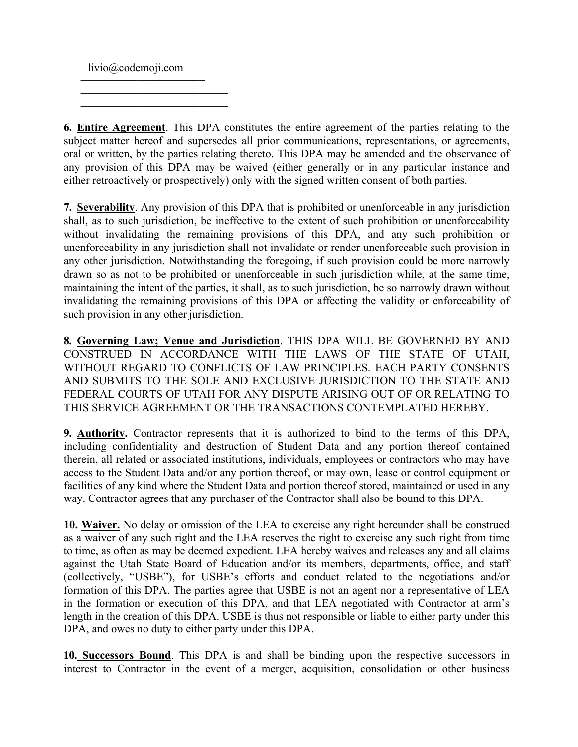$livio@codemoji.com$ 

**6. Entire Agreement**. This DPA constitutes the entire agreement of the parties relating to the subject matter hereof and supersedes all prior communications, representations, or agreements, oral or written, by the parties relating thereto. This DPA may be amended and the observance of any provision of this DPA may be waived (either generally or in any particular instance and either retroactively or prospectively) only with the signed written consent of both parties.

7. Severability. Any provision of this DPA that is prohibited or unenforceable in any jurisdiction shall, as to such jurisdiction, be ineffective to the extent of such prohibition or unenforceability without invalidating the remaining provisions of this DPA, and any such prohibition or unenforceability in any jurisdiction shall not invalidate or render unenforceable such provision in any other jurisdiction. Notwithstanding the foregoing, if such provision could be more narrowly drawn so as not to be prohibited or unenforceable in such jurisdiction while, at the same time, maintaining the intent of the parties, it shall, as to such jurisdiction, be so narrowly drawn without invalidating the remaining provisions of this DPA or affecting the validity or enforceability of such provision in any other jurisdiction.

8. Governing Law; Venue and Jurisdiction. THIS DPA WILL BE GOVERNED BY AND CONSTRUED IN ACCORDANCE WITH THE LAWS OF THE STATE OF UTAH, WITHOUT REGARD TO CONFLICTS OF LAW PRINCIPLES. EACH PARTY CONSENTS AND SUBMITS TO THE SOLE AND EXCLUSIVE JURISDICTION TO THE STATE AND FEDERAL COURTS OF UTAH FOR ANY DISPUTE ARISING OUT OF OR RELATING TO THIS SERVICE AGREEMENT OR THE TRANSACTIONS CONTEMPLATED HEREBY.

**9. Authority.** Contractor represents that it is authorized to bind to the terms of this DPA, including confidentiality and destruction of Student Data and any portion thereof contained therein, all related or associated institutions, individuals, employees or contractors who may have access to the Student Data and/or any portion thereof, or may own, lease or control equipment or facilities of any kind where the Student Data and portion thereof stored, maintained or used in any way. Contractor agrees that any purchaser of the Contractor shall also be bound to this DPA.

10. Waiver. No delay or omission of the LEA to exercise any right hereunder shall be construed as a waiver of any such right and the LEA reserves the right to exercise any such right from time to time, as often as may be deemed expedient. LEA hereby waives and releases any and all claims against the Utah State Board of Education and/or its members, departments, office, and staff (collectively, "USBE"), for USBE's efforts and conduct related to the negotiations and/or formation of this DPA. The parties agree that USBE is not an agent nor a representative of LEA in the formation or execution of this DPA, and that LEA negotiated with Contractor at arm's length in the creation of this DPA. USBE is thus not responsible or liable to either party under this DPA, and owes no duty to either party under this DPA.

10. Successors Bound. This DPA is and shall be binding upon the respective successors in interest to Contractor in the event of a merger, acquisition, consolidation or other business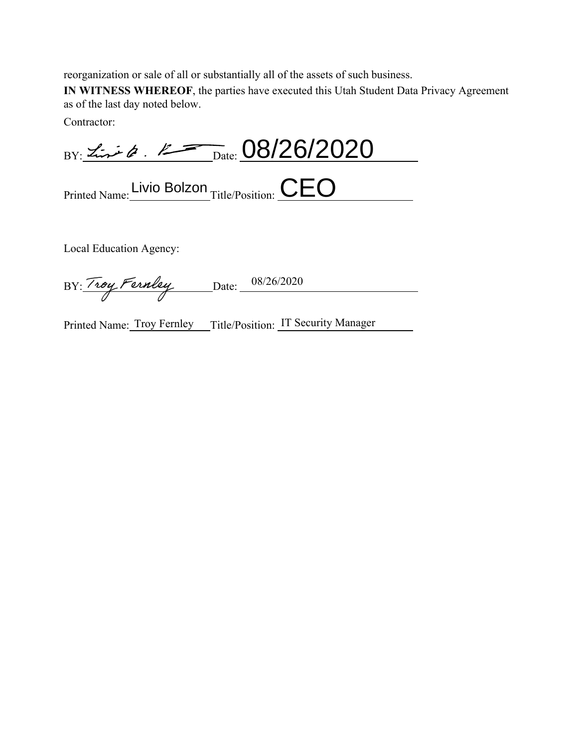reorganization or sale of all or substantially all of the assets of such business.

IN WITNESS WHEREOF, the parties have executed this Utah Student Data Privacy Agreement as of the last day noted below.

Contractor:

BY: Line Q. R Date: 08/26/2020

Printed Name: Livio Bolzon<br>Title/Position: CEO

Local Education Agency:

BY: Troy Fernley Date: 08/26/2020

Printed Name: Troy Fernley Title/Position: IT Security Manager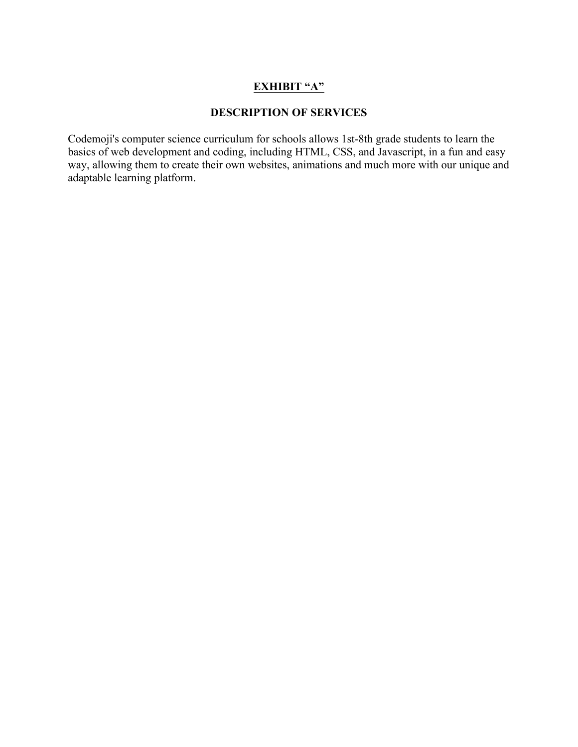## **EXHIBIT "A"**

### **DESCRIPTION OF SERVICES**

Codemoji's computer science curriculum for schools allows 1st-8th grade students to learn the basics of web development and coding, including HTML, CSS, and Javascript, in a fun and easy way, allowing them to create their own websites, animations and much more with our unique and adaptable learning platform.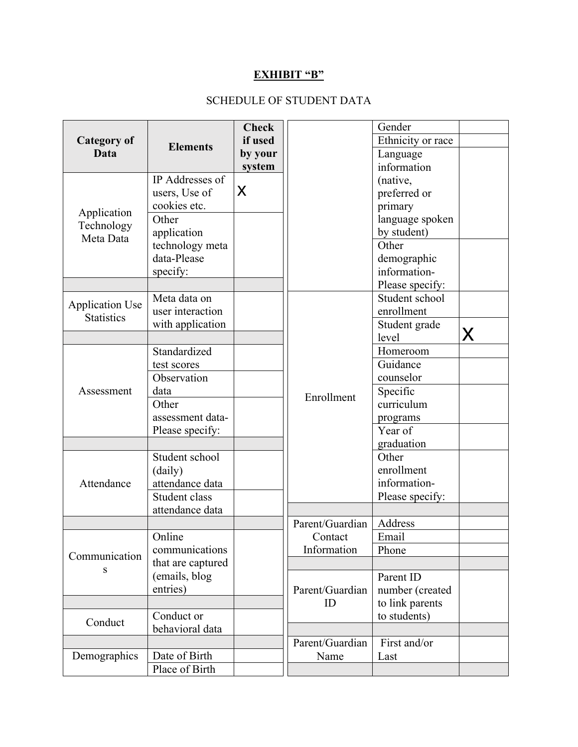# **EXHIBIT "B"**

# SCHEDULE OF STUDENT DATA

|                                             | <b>Elements</b>   | <b>Check</b> |                 | Gender            |   |
|---------------------------------------------|-------------------|--------------|-----------------|-------------------|---|
| <b>Category of</b>                          |                   | if used      |                 | Ethnicity or race |   |
| Data                                        |                   | by your      |                 | Language          |   |
|                                             |                   | system       |                 | information       |   |
|                                             | IP Addresses of   | Ιx           |                 | (native,          |   |
|                                             | users, Use of     |              |                 | preferred or      |   |
|                                             | cookies etc.      |              |                 | primary           |   |
| Application                                 | Other             |              |                 | language spoken   |   |
| Technology<br>Meta Data                     | application       |              |                 | by student)       |   |
|                                             | technology meta   |              |                 | Other             |   |
|                                             | data-Please       |              |                 | demographic       |   |
|                                             | specify:          |              |                 | information-      |   |
|                                             |                   |              |                 | Please specify:   |   |
|                                             | Meta data on      |              |                 | Student school    |   |
| <b>Application Use</b><br><b>Statistics</b> | user interaction  |              |                 | enrollment        |   |
|                                             | with application  |              |                 | Student grade     |   |
|                                             |                   |              |                 | level             | X |
|                                             | Standardized      |              |                 | Homeroom          |   |
|                                             | test scores       |              |                 | Guidance          |   |
|                                             | Observation       |              | Enrollment      | counselor         |   |
| Assessment                                  | data              |              |                 | Specific          |   |
|                                             | Other             |              |                 | curriculum        |   |
|                                             | assessment data-  |              |                 | programs          |   |
|                                             | Please specify:   |              |                 | Year of           |   |
|                                             |                   |              |                 | graduation        |   |
|                                             | Student school    |              |                 | Other             |   |
|                                             | (daily)           |              |                 | enrollment        |   |
| Attendance                                  | attendance data   |              |                 | information-      |   |
|                                             | Student class     |              |                 | Please specify:   |   |
|                                             | attendance data   |              |                 |                   |   |
|                                             |                   |              | Parent/Guardian | Address           |   |
| Communication<br>S                          | Online            |              | Contact         | Email             |   |
|                                             | communications    |              | Information     | Phone             |   |
|                                             | that are captured |              |                 |                   |   |
|                                             | (emails, blog     |              |                 | Parent ID         |   |
|                                             | entries)          |              | Parent/Guardian | number (created   |   |
|                                             |                   |              | ID              | to link parents   |   |
| Conduct                                     | Conduct or        |              |                 | to students)      |   |
|                                             | behavioral data   |              |                 |                   |   |
|                                             |                   |              | Parent/Guardian | First and/or      |   |
| Demographics                                | Date of Birth     |              | Name            | Last              |   |
|                                             | Place of Birth    |              |                 |                   |   |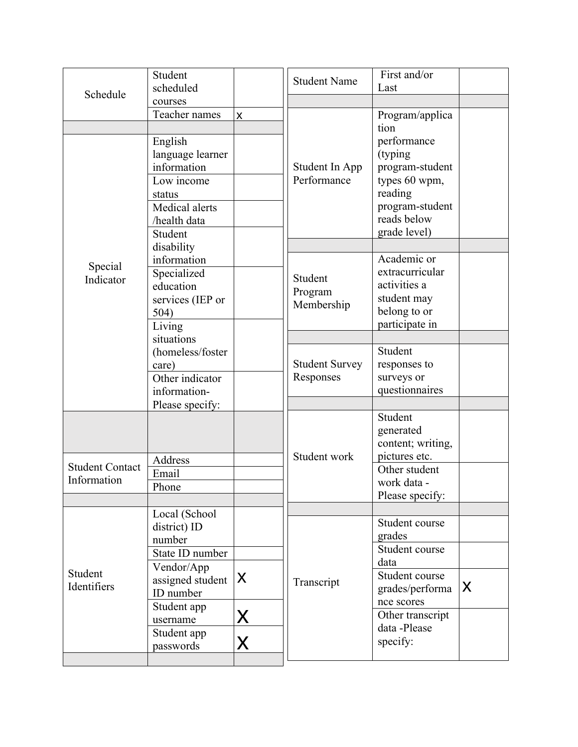| Schedule               | Student<br>scheduled                                                                                      |           | <b>Student Name</b>                | First and/or<br>Last                                                                                                            |                         |
|------------------------|-----------------------------------------------------------------------------------------------------------|-----------|------------------------------------|---------------------------------------------------------------------------------------------------------------------------------|-------------------------|
|                        | courses                                                                                                   |           |                                    |                                                                                                                                 |                         |
|                        | Teacher names                                                                                             | X         |                                    | Program/applica                                                                                                                 |                         |
|                        | English<br>language learner<br>information<br>Low income<br>status<br>Medical alerts<br>/health data      |           | Student In App<br>Performance      | tion<br>performance<br>(typing<br>program-student<br>types 60 wpm,<br>reading<br>program-student<br>reads below<br>grade level) |                         |
|                        | Student                                                                                                   |           |                                    |                                                                                                                                 |                         |
| Special<br>Indicator   | disability<br>information<br>Specialized<br>education<br>services (IEP or<br>504)<br>Living               |           | Student<br>Program<br>Membership   | Academic or<br>extracurricular<br>activities a<br>student may<br>belong to or<br>participate in                                 |                         |
|                        | situations                                                                                                |           |                                    | Student                                                                                                                         |                         |
|                        | (homeless/foster<br>care)<br>Other indicator<br>information-<br>Please specify:                           |           | <b>Student Survey</b><br>Responses | responses to<br>surveys or<br>questionnaires                                                                                    |                         |
| <b>Student Contact</b> | Address<br>Email                                                                                          |           | Student work                       | Student<br>generated<br>content; writing,<br>pictures etc.<br>Other student                                                     |                         |
| Information            | Phone                                                                                                     |           |                                    | work data -                                                                                                                     |                         |
|                        |                                                                                                           |           |                                    | Please specify:                                                                                                                 |                         |
| Student<br>Identifiers | Local (School<br>district) ID<br>number<br>State ID number<br>Vendor/App<br>assigned student<br>ID number | lx.       | Transcript                         | Student course<br>grades<br>Student course<br>data<br>Student course<br>grades/performa                                         | $\overline{\mathsf{x}}$ |
|                        | Student app<br>username<br>Student app<br>passwords                                                       | lx.<br>X. |                                    | nce scores<br>Other transcript<br>data -Please<br>specify:                                                                      |                         |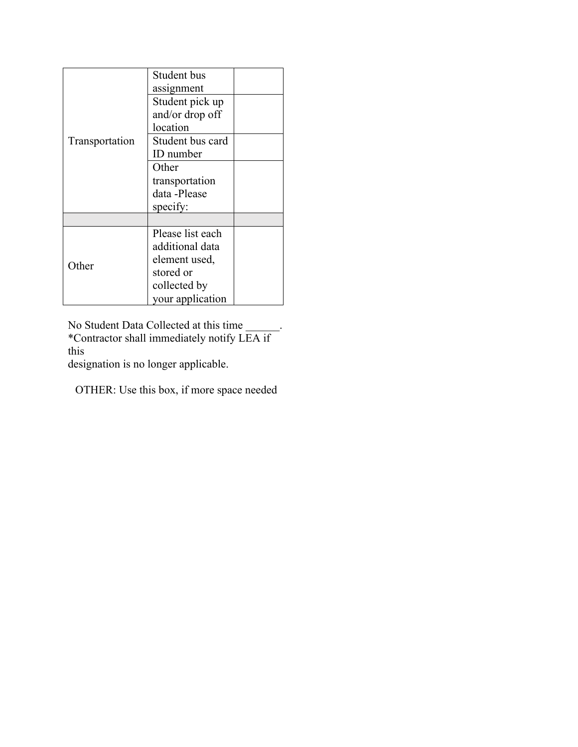|                | Student bus      |  |
|----------------|------------------|--|
|                | assignment       |  |
|                | Student pick up  |  |
| Transportation | and/or drop off  |  |
|                | location         |  |
|                | Student bus card |  |
|                | ID number        |  |
|                | Other            |  |
|                | transportation   |  |
|                | data -Please     |  |
|                | specify:         |  |
|                |                  |  |
|                | Please list each |  |
|                | additional data  |  |
|                | element used,    |  |
| Other          | stored or        |  |
|                | collected by     |  |
|                | your application |  |

No Student Data Collected at this time<br>\*Contractor shall immediately notify LEA if this

designation is no longer applicable.

OTHER: Use this box, if more space needed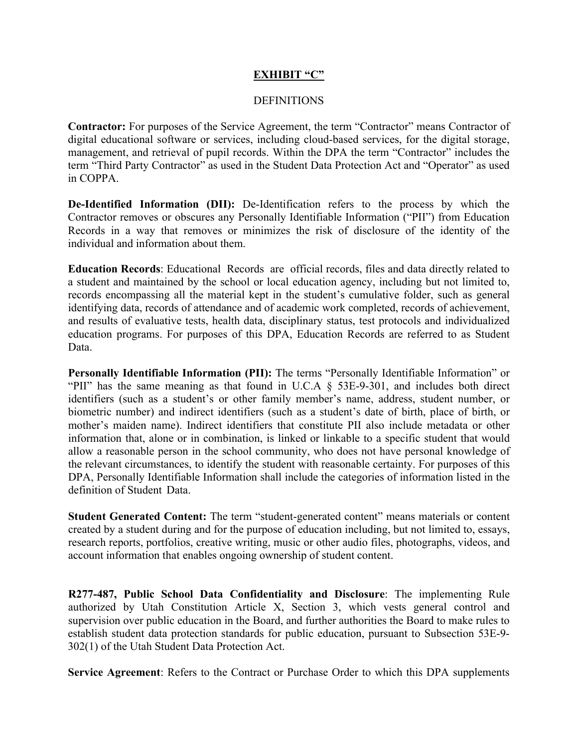### **EXHIBIT "C"**

### **DEFINITIONS**

**Contractor:** For purposes of the Service Agreement, the term "Contractor" means Contractor of digital educational software or services, including cloud-based services, for the digital storage, management, and retrieval of pupil records. Within the DPA the term "Contractor" includes the term "Third Party Contractor" as used in the Student Data Protection Act and "Operator" as used in COPPA

De-Identified Information (DII): De-Identification refers to the process by which the Contractor removes or obscures any Personally Identifiable Information ("PII") from Education Records in a way that removes or minimizes the risk of disclosure of the identity of the individual and information about them

**Education Records:** Educational Records are official records, files and data directly related to a student and maintained by the school or local education agency, including but not limited to, records encompassing all the material kept in the student's cumulative folder, such as general identifying data, records of attendance and of academic work completed, records of achievement, and results of evaluative tests, health data, disciplinary status, test protocols and individualized education programs. For purposes of this DPA, Education Records are referred to as Student Data.

Personally Identifiable Information (PII): The terms "Personally Identifiable Information" or "PII" has the same meaning as that found in U.C.A § 53E-9-301, and includes both direct identifiers (such as a student's or other family member's name, address, student number, or biometric number) and indirect identifiers (such as a student's date of birth, place of birth, or mother's maiden name). Indirect identifiers that constitute PII also include metadata or other information that, alone or in combination, is linked or linkable to a specific student that would allow a reasonable person in the school community, who does not have personal knowledge of the relevant circumstances, to identify the student with reasonable certainty. For purposes of this DPA, Personally Identifiable Information shall include the categories of information listed in the definition of Student Data.

Student Generated Content: The term "student-generated content" means materials or content created by a student during and for the purpose of education including, but not limited to, essays, research reports, portfolios, creative writing, music or other audio files, photographs, videos, and account information that enables ongoing ownership of student content.

R277-487, Public School Data Confidentiality and Disclosure: The implementing Rule authorized by Utah Constitution Article X, Section 3, which vests general control and supervision over public education in the Board, and further authorities the Board to make rules to establish student data protection standards for public education, pursuant to Subsection 53E-9-302(1) of the Utah Student Data Protection Act.

Service Agreement: Refers to the Contract or Purchase Order to which this DPA supplements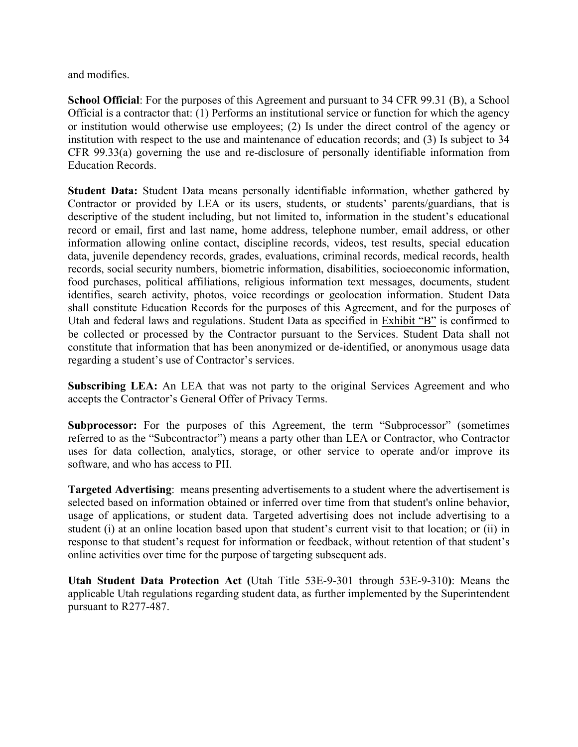and modifies

**School Official:** For the purposes of this Agreement and pursuant to 34 CFR 99.31 (B), a School Official is a contractor that: (1) Performs an institutional service or function for which the agency or institution would otherwise use employees; (2) Is under the direct control of the agency or institution with respect to the use and maintenance of education records; and (3) Is subject to 34 CFR 99.33(a) governing the use and re-disclosure of personally identifiable information from **Education Records.** 

**Student Data:** Student Data means personally identifiable information, whether gathered by Contractor or provided by LEA or its users, students, or students' parents/guardians, that is descriptive of the student including, but not limited to, information in the student's educational record or email, first and last name, home address, telephone number, email address, or other information allowing online contact, discipline records, videos, test results, special education data, juvenile dependency records, grades, evaluations, criminal records, medical records, health records, social security numbers, biometric information, disabilities, socioeconomic information, food purchases, political affiliations, religious information text messages, documents, student identifies, search activity, photos, voice recordings or geolocation information. Student Data shall constitute Education Records for the purposes of this Agreement, and for the purposes of Utah and federal laws and regulations. Student Data as specified in Exhibit "B" is confirmed to be collected or processed by the Contractor pursuant to the Services. Student Data shall not constitute that information that has been anonymized or de-identified, or anonymous usage data regarding a student's use of Contractor's services.

Subscribing LEA: An LEA that was not party to the original Services Agreement and who accepts the Contractor's General Offer of Privacy Terms.

**Subprocessor:** For the purposes of this Agreement, the term "Subprocessor" (sometimes referred to as the "Subcontractor") means a party other than LEA or Contractor, who Contractor uses for data collection, analytics, storage, or other service to operate and/or improve its software, and who has access to PII.

**Targeted Advertising:** means presenting advertisements to a student where the advertisement is selected based on information obtained or inferred over time from that student's online behavior, usage of applications, or student data. Targeted advertising does not include advertising to a student (i) at an online location based upon that student's current visit to that location; or (ii) in response to that student's request for information or feedback, without retention of that student's online activities over time for the purpose of targeting subsequent ads.

Utah Student Data Protection Act (Utah Title 53E-9-301 through 53E-9-310): Means the applicable Utah regulations regarding student data, as further implemented by the Superintendent pursuant to R277-487.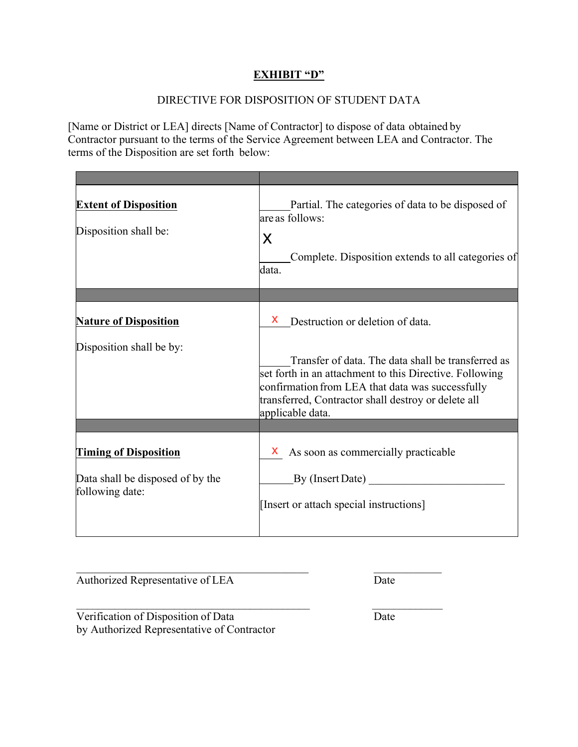## **EXHIBIT "D"**

## DIRECTIVE FOR DISPOSITION OF STUDENT DATA

[Name or District or LEA] directs [Name of Contractor] to dispose of data obtained by Contractor pursuant to the terms of the Service Agreement between LEA and Contractor. The terms of the Disposition are set forth below:

| <b>Extent of Disposition</b><br>Disposition shall be: | Partial. The categories of data to be disposed of<br>are as follows:<br>X<br>Complete. Disposition extends to all categories of<br>data.                                                                                                     |
|-------------------------------------------------------|----------------------------------------------------------------------------------------------------------------------------------------------------------------------------------------------------------------------------------------------|
|                                                       |                                                                                                                                                                                                                                              |
| <b>Nature of Disposition</b>                          | Destruction or deletion of data.<br>X.                                                                                                                                                                                                       |
| Disposition shall be by:                              | Transfer of data. The data shall be transferred as<br>set forth in an attachment to this Directive. Following<br>confirmation from LEA that data was successfully<br>transferred, Contractor shall destroy or delete all<br>applicable data. |
|                                                       |                                                                                                                                                                                                                                              |
| <b>Timing of Disposition</b>                          | As soon as commercially practicable<br>X.                                                                                                                                                                                                    |
| Data shall be disposed of by the<br>following date:   | By (Insert Date)<br>[Insert or attach special instructions]                                                                                                                                                                                  |

Authorized Representative of LEA

Date

Verification of Disposition of Data by Authorized Representative of Contractor Date